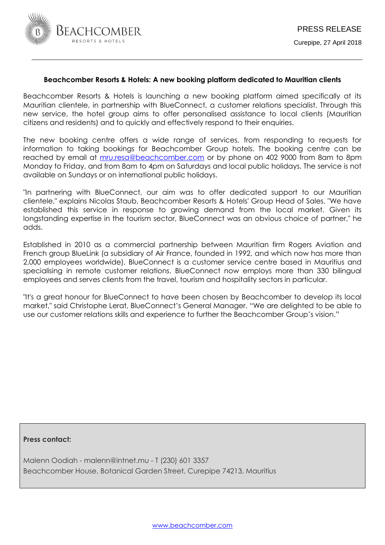

# **Beachcomber Resorts & Hotels: A new booking platform dedicated to Mauritian clients**

Beachcomber Resorts & Hotels is launching a new booking platform aimed specifically at its Mauritian clientele, in partnership with BlueConnect, a customer relations specialist. Through this new service, the hotel group aims to offer personalised assistance to local clients (Mauritian citizens and residents) and to quickly and effectively respond to their enquiries.

The new booking centre offers a wide range of services, from responding to requests for information to taking bookings for Beachcomber Group hotels. The booking centre can be reached by email at [mru.resa@beachcomber.com](mailto:mru.resa@beachcomber.com) or by phone on 402 9000 from 8am to 8pm Monday to Friday, and from 8am to 4pm on Saturdays and local public holidays. The service is not available on Sundays or on international public holidays.

"In partnering with BlueConnect, our aim was to offer dedicated support to our Mauritian clientele," explains Nicolas Staub, Beachcomber Resorts & Hotels' Group Head of Sales. "We have established this service in response to growing demand from the local market. Given its longstanding expertise in the tourism sector, BlueConnect was an obvious choice of partner," he adds.

Established in 2010 as a commercial partnership between Mauritian firm Rogers Aviation and French group BlueLink (a subsidiary of Air France, founded in 1992, and which now has more than 2,000 employees worldwide), BlueConnect is a customer service centre based in Mauritius and specialising in remote customer relations. BlueConnect now employs more than 330 bilingual employees and serves clients from the travel, tourism and hospitality sectors in particular.

"It's a great honour for BlueConnect to have been chosen by Beachcomber to develop its local market," said Christophe Lerat, BlueConnect's General Manager. "We are delighted to be able to use our customer relations skills and experience to further the Beachcomber Group's vision."

**Press contact:** 

Malenn Oodiah - malenn@intnet.mu - T (230) 601 3357 Beachcomber House, Botanical Garden Street, Curepipe 74213, Mauritius